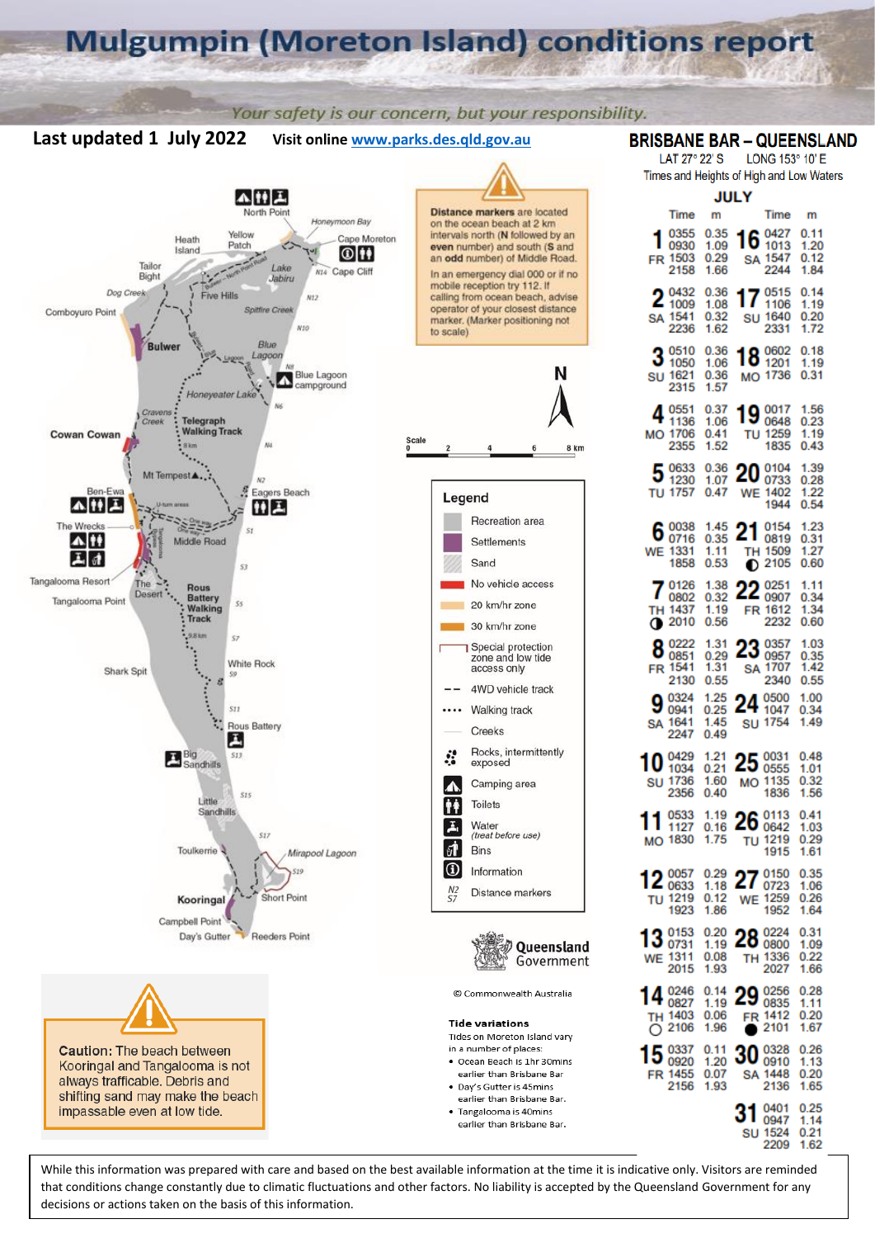# **Mulgumpin (Moreton Island) conditions report**

Your safety is our concern, but your responsibility.

Visit online www.parks.des.qld.gov.au

# **BRISBANE BAR - QUEENSLAND**

LAT 27° 22' S LONG 153° 10' E Times and Heights of High and Low Waters

16

17

18

Time

0427

1013

 $22AA$ 

0515

1106

2331

0602

1201

0648

1259

1835

0104<br>0733

1944

0154

0819

2105

TH 1509

22 0251

FR 1612

**SA 1707** 

2232

0357

0957

2340

0500

1047

1754

**WE 1402** 

**SU 1640** 

MO 1736

19 0017

TU

20

21

∩

23

24

SU

25 0031

MO 1135

26 0113

27

29

**FR** 

SΔ 1448

31

30 0328

TU 1219

**WE 1259** 

28 0800

TH 1336

2027

0256

0835

1412

2101

2136

0401

0947

2209

**SU 1524** 

1836

1915

0150

0723

1952

SA 1547

m

 $0.11$ 

1.20

 $0,12$ 

1.84

 $0.14$ 

1.19

 $0.20$ 

1.72

 $0.18$ 

1.19

 $0.31$ 

1.56

 $0.23$ 

1 19

 $0.43$ 

1.39

0.28

1.22

0.54

1.23

 $0.31$ 

1.27

 $0.60$ 

 $1.11$ 

 $0.34$ 

1.34

0.60

1.03

0.35

142

0.55

1.00

0.34

1.49

0.48

 $101$ 

0.32

1.56

 $0.41$ 

1.03

0.29

1.61

0.35

1.06

0.26

1.64

0.31

1.09

 $0.22$ 

1.66

0.28

1.11

 $0.20$ 

1.67

0.26

 $1.13$ 

 $0.20$ 

1.65

0.25

1.14

 $0.21$ 

1.62

**JULY** 

m

0.35

 $1.09$ 

0.29

1.66

0.36

1.08

0.32

1.62

0.36

1.06

0.36

1.57

0.37

1.06

 $0.41$ 

1.52

0.36

1.07

0.47

1.45

0.35

1.11

0.53

1.38

0.32

1.19

1.31

0.29

1.31

0.55

1.25

 $0.25$ 

1.45

0.49

1.21

 $0.21$ 

1.60

 $0.40$ 

1.19

0.16

1.75

0.29

1.18

 $0.12$ 

1.86

 $0.20$ 

1.19

0.08

1.93

 $0.14$ 

1.19

0.06

1.96

 $0.11$ 

1.20

0.07

1.93

0.56



Last updated 1 July 2022

While this information was prepared with care and based on the best available information at the time it is indicative only. Visitors are reminded that conditions change constantly due to climatic fluctuations and other factors. No liability is accepted by the Queensland Government for any decisions or actions taken on the basis of this information.